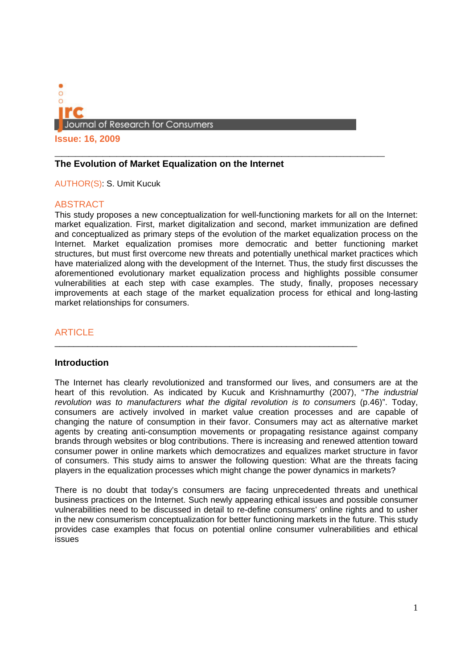

**Issue: 16, 2009**

### **\_\_\_\_\_\_\_\_\_\_\_\_\_\_\_\_\_\_\_\_\_\_\_\_\_\_\_\_\_\_\_\_\_\_\_\_\_\_\_\_\_\_\_\_\_\_\_\_ The Evolution of Market Equalization on the Internet**

AUTHOR(S): S. Umit Kucuk

### ABSTRACT

This study proposes a new conceptualization for well-functioning markets for all on the Internet: market equalization. First, market digitalization and second, market immunization are defined and conceptualized as primary steps of the evolution of the market equalization process on the Internet. Market equalization promises more democratic and better functioning market structures, but must first overcome new threats and potentially unethical market practices which have materialized along with the development of the Internet. Thus, the study first discusses the aforementioned evolutionary market equalization process and highlights possible consumer vulnerabilities at each step with case examples. The study, finally, proposes necessary improvements at each stage of the market equalization process for ethical and long-lasting market relationships for consumers.

 $\_$  ,  $\_$  ,  $\_$  ,  $\_$  ,  $\_$  ,  $\_$  ,  $\_$  ,  $\_$  ,  $\_$  ,  $\_$  ,  $\_$  ,  $\_$  ,  $\_$  ,  $\_$  ,  $\_$  ,  $\_$  ,  $\_$  ,  $\_$  ,  $\_$ 

# **ARTICLE**

#### **Introduction**

The Internet has clearly revolutionized and transformed our lives, and consumers are at the heart of this revolution. As indicated by Kucuk and Krishnamurthy (2007), "*The industrial revolution was to manufacturers what the digital revolution is to consumers* (p.46)". Today, consumers are actively involved in market value creation processes and are capable of changing the nature of consumption in their favor. Consumers may act as alternative market agents by creating anti-consumption movements or propagating resistance against company brands through websites or blog contributions. There is increasing and renewed attention toward consumer power in online markets which democratizes and equalizes market structure in favor of consumers. This study aims to answer the following question: What are the threats facing players in the equalization processes which might change the power dynamics in markets?

There is no doubt that today's consumers are facing unprecedented threats and unethical business practices on the Internet. Such newly appearing ethical issues and possible consumer vulnerabilities need to be discussed in detail to re-define consumers' online rights and to usher in the new consumerism conceptualization for better functioning markets in the future. This study provides case examples that focus on potential online consumer vulnerabilities and ethical issues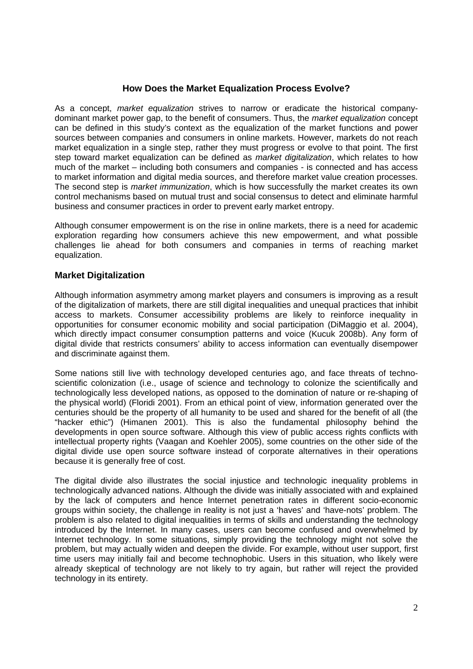# **How Does the Market Equalization Process Evolve?**

As a concept, *market equalization* strives to narrow or eradicate the historical companydominant market power gap, to the benefit of consumers. Thus, the *market equalization* concept can be defined in this study's context as the equalization of the market functions and power sources between companies and consumers in online markets. However, markets do not reach market equalization in a single step, rather they must progress or evolve to that point. The first step toward market equalization can be defined as *market digitalization*, which relates to how much of the market – including both consumers and companies - is connected and has access to market information and digital media sources, and therefore market value creation processes. The second step is *market immunization*, which is how successfully the market creates its own control mechanisms based on mutual trust and social consensus to detect and eliminate harmful business and consumer practices in order to prevent early market entropy.

Although consumer empowerment is on the rise in online markets, there is a need for academic exploration regarding how consumers achieve this new empowerment, and what possible challenges lie ahead for both consumers and companies in terms of reaching market equalization.

### **Market Digitalization**

Although information asymmetry among market players and consumers is improving as a result of the digitalization of markets, there are still digital inequalities and unequal practices that inhibit access to markets. Consumer accessibility problems are likely to reinforce inequality in opportunities for consumer economic mobility and social participation (DiMaggio et al. 2004), which directly impact consumer consumption patterns and voice (Kucuk 2008b). Any form of digital divide that restricts consumers' ability to access information can eventually disempower and discriminate against them.

Some nations still live with technology developed centuries ago, and face threats of technoscientific colonization (i.e., usage of science and technology to colonize the scientifically and technologically less developed nations, as opposed to the domination of nature or re-shaping of the physical world) (Floridi 2001). From an ethical point of view, information generated over the centuries should be the property of all humanity to be used and shared for the benefit of all (the "hacker ethic") (Himanen 2001). This is also the fundamental philosophy behind the developments in open source software. Although this view of public access rights conflicts with intellectual property rights (Vaagan and Koehler 2005), some countries on the other side of the digital divide use open source software instead of corporate alternatives in their operations because it is generally free of cost.

The digital divide also illustrates the social injustice and technologic inequality problems in technologically advanced nations. Although the divide was initially associated with and explained by the lack of computers and hence Internet penetration rates in different socio-economic groups within society, the challenge in reality is not just a 'haves' and 'have-nots' problem. The problem is also related to digital inequalities in terms of skills and understanding the technology introduced by the Internet. In many cases, users can become confused and overwhelmed by Internet technology. In some situations, simply providing the technology might not solve the problem, but may actually widen and deepen the divide. For example, without user support, first time users may initially fail and become technophobic. Users in this situation, who likely were already skeptical of technology are not likely to try again, but rather will reject the provided technology in its entirety.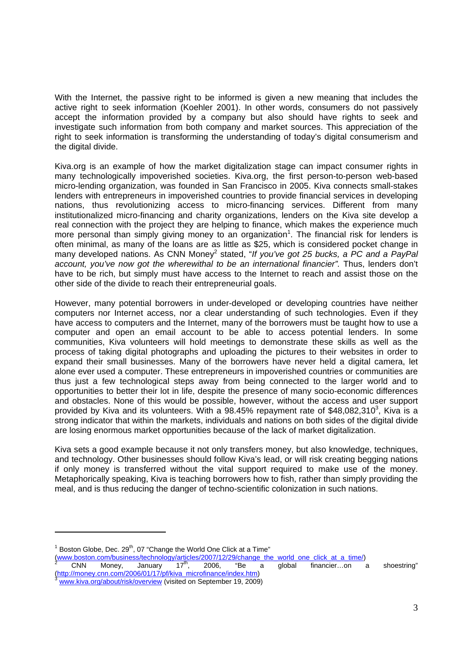With the Internet, the passive right to be informed is given a new meaning that includes the active right to seek information (Koehler 2001). In other words, consumers do not passively accept the information provided by a company but also should have rights to seek and investigate such information from both company and market sources. This appreciation of the right to seek information is transforming the understanding of today's digital consumerism and the digital divide.

Kiva.org is an example of how the market digitalization stage can impact consumer rights in many technologically impoverished societies. Kiva.org, the first person-to-person web-based micro-lending organization, was founded in San Francisco in 2005. Kiva connects small-stakes lenders with entrepreneurs in impoverished countries to provide financial services in developing nations, thus revolutionizing access to micro-financing services. Different from many institutionalized micro-financing and charity organizations, lenders on the Kiva site develop a real connection with the project they are helping to finance, which makes the experience much more personal than simply giving money to an organization<sup>1</sup>. The financial risk for lenders is often minimal, as many of the loans are as little as \$25, which is considered pocket change in many developed nations. As CNN Money<sup>2</sup> stated, "If you've got 25 bucks, a PC and a PayPal account, you've now got the wherewithal to be an international financier". Thus, lenders don't have to be rich, but simply must have access to the Internet to reach and assist those on the other side of the divide to reach their entrepreneurial goals.

However, many potential borrowers in under-developed or developing countries have neither computers nor Internet access, nor a clear understanding of such technologies. Even if they have access to computers and the Internet, many of the borrowers must be taught how to use a computer and open an email account to be able to access potential lenders. In some communities, Kiva volunteers will hold meetings to demonstrate these skills as well as the process of taking digital photographs and uploading the pictures to their websites in order to expand their small businesses. Many of the borrowers have never held a digital camera, let alone ever used a computer. These entrepreneurs in impoverished countries or communities are thus just a few technological steps away from being connected to the larger world and to opportunities to better their lot in life, despite the presence of many socio-economic differences and obstacles. None of this would be possible, however, without the access and user support provided by Kiva and its volunteers. With a 98.45% repayment rate of \$48,082,310<sup>3</sup>, Kiva is a strong indicator that within the markets, individuals and nations on both sides of the digital divide are losing enormous market opportunities because of the lack of market digitalization.

Kiva sets a good example because it not only transfers money, but also knowledge, techniques, and technology. Other businesses should follow Kiva's lead, or will risk creating begging nations if only money is transferred without the vital support required to make use of the money. Metaphorically speaking, Kiva is teaching borrowers how to fish, rather than simply providing the meal, and is thus reducing the danger of techno-scientific colonization in such nations.

 $\frac{\text{(www.boston.com/business/technology/articles/2007/12/29/change-the-world one click at a time)}}{\text{CNN}$  Money, January  $17^{\text{th}}$ , 2006, "Be a global financier...on a

 $1$  Boston Globe, Dec. 29<sup>th</sup>, 07 "Change the World One Click at a Time"

 $CNN$  Money, January  $17<sup>th</sup>$ , 2006, "Be a global financier...on a shoestring" (http://money.cnn.com/2006/01/17/pf/kiva\_microfinance/index.htm)<br><sup>3</sup> www.kiva.org/about/risk/overview (visited on September 19, 2009)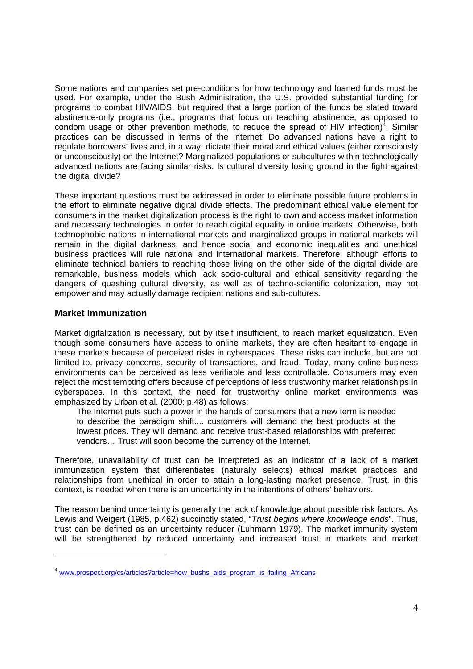Some nations and companies set pre-conditions for how technology and loaned funds must be used. For example, under the Bush Administration, the U.S. provided substantial funding for programs to combat HIV/AIDS, but required that a large portion of the funds be slated toward abstinence-only programs (i.e.; programs that focus on teaching abstinence, as opposed to condom usage or other prevention methods, to reduce the spread of HIV infection)<sup>4</sup>. Similar practices can be discussed in terms of the Internet: Do advanced nations have a right to regulate borrowers' lives and, in a way, dictate their moral and ethical values (either consciously or unconsciously) on the Internet? Marginalized populations or subcultures within technologically advanced nations are facing similar risks. Is cultural diversity losing ground in the fight against the digital divide?

These important questions must be addressed in order to eliminate possible future problems in the effort to eliminate negative digital divide effects. The predominant ethical value element for consumers in the market digitalization process is the right to own and access market information and necessary technologies in order to reach digital equality in online markets. Otherwise, both technophobic nations in international markets and marginalized groups in national markets will remain in the digital darkness, and hence social and economic inequalities and unethical business practices will rule national and international markets. Therefore, although efforts to eliminate technical barriers to reaching those living on the other side of the digital divide are remarkable, business models which lack socio-cultural and ethical sensitivity regarding the dangers of quashing cultural diversity, as well as of techno-scientific colonization, may not empower and may actually damage recipient nations and sub-cultures.

### **Market Immunization**

<u> Alexandria de la construcción de la construcción de la construcción de la construcción de la construcción de</u>

Market digitalization is necessary, but by itself insufficient, to reach market equalization. Even though some consumers have access to online markets, they are often hesitant to engage in these markets because of perceived risks in cyberspaces. These risks can include, but are not limited to, privacy concerns, security of transactions, and fraud. Today, many online business environments can be perceived as less verifiable and less controllable. Consumers may even reject the most tempting offers because of perceptions of less trustworthy market relationships in cyberspaces. In this context, the need for trustworthy online market environments was emphasized by Urban et al. (2000: p.48) as follows:

The Internet puts such a power in the hands of consumers that a new term is needed to describe the paradigm shift.... customers will demand the best products at the lowest prices. They will demand and receive trust-based relationships with preferred vendors… Trust will soon become the currency of the Internet.

Therefore, unavailability of trust can be interpreted as an indicator of a lack of a market immunization system that differentiates (naturally selects) ethical market practices and relationships from unethical in order to attain a long-lasting market presence. Trust, in this context, is needed when there is an uncertainty in the intentions of others' behaviors.

The reason behind uncertainty is generally the lack of knowledge about possible risk factors. As Lewis and Weigert (1985, p.462) succinctly stated, "*Trust begins where knowledge ends*". Thus, trust can be defined as an uncertainty reducer (Luhmann 1979). The market immunity system will be strengthened by reduced uncertainty and increased trust in markets and market

<sup>&</sup>lt;sup>4</sup> www.prospect.org/cs/articles?article=how\_bushs\_aids\_program\_is\_failing\_Africans\_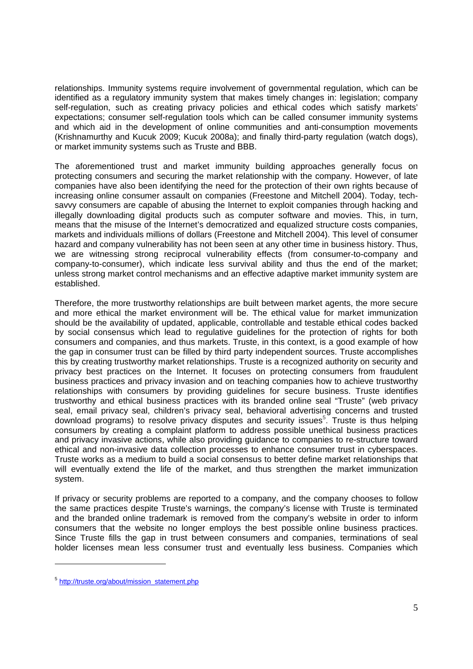relationships. Immunity systems require involvement of governmental regulation, which can be identified as a regulatory immunity system that makes timely changes in: legislation; company self-regulation, such as creating privacy policies and ethical codes which satisfy markets' expectations; consumer self-regulation tools which can be called consumer immunity systems and which aid in the development of online communities and anti-consumption movements (Krishnamurthy and Kucuk 2009; Kucuk 2008a); and finally third-party regulation (watch dogs), or market immunity systems such as Truste and BBB.

The aforementioned trust and market immunity building approaches generally focus on protecting consumers and securing the market relationship with the company. However, of late companies have also been identifying the need for the protection of their own rights because of increasing online consumer assault on companies (Freestone and Mitchell 2004). Today, techsavvy consumers are capable of abusing the Internet to exploit companies through hacking and illegally downloading digital products such as computer software and movies. This, in turn, means that the misuse of the Internet's democratized and equalized structure costs companies, markets and individuals millions of dollars (Freestone and Mitchell 2004). This level of consumer hazard and company vulnerability has not been seen at any other time in business history. Thus, we are witnessing strong reciprocal vulnerability effects (from consumer-to-company and company-to-consumer), which indicate less survival ability and thus the end of the market; unless strong market control mechanisms and an effective adaptive market immunity system are established.

Therefore, the more trustworthy relationships are built between market agents, the more secure and more ethical the market environment will be. The ethical value for market immunization should be the availability of updated, applicable, controllable and testable ethical codes backed by social consensus which lead to regulative guidelines for the protection of rights for both consumers and companies, and thus markets. Truste, in this context, is a good example of how the gap in consumer trust can be filled by third party independent sources. Truste accomplishes this by creating trustworthy market relationships. Truste is a recognized authority on security and privacy best practices on the Internet. It focuses on protecting consumers from fraudulent business practices and privacy invasion and on teaching companies how to achieve trustworthy relationships with consumers by providing guidelines for secure business. Truste identifies trustworthy and ethical business practices with its branded online seal "Truste" (web privacy seal, email privacy seal, children's privacy seal, behavioral advertising concerns and trusted download programs) to resolve privacy disputes and security issues<sup>5</sup>. Truste is thus helping consumers by creating a complaint platform to address possible unethical business practices and privacy invasive actions, while also providing guidance to companies to re-structure toward ethical and non-invasive data collection processes to enhance consumer trust in cyberspaces. Truste works as a medium to build a social consensus to better define market relationships that will eventually extend the life of the market, and thus strengthen the market immunization system.

If privacy or security problems are reported to a company, and the company chooses to follow the same practices despite Truste's warnings, the company's license with Truste is terminated and the branded online trademark is removed from the company's website in order to inform consumers that the website no longer employs the best possible online business practices. Since Truste fills the gap in trust between consumers and companies, terminations of seal holder licenses mean less consumer trust and eventually less business. Companies which

<u> Alexandria de la construcción de la construcción de la construcción de la construcción de la construcción de</u>

<sup>&</sup>lt;sup>5</sup> http://truste.org/about/mission\_statement.php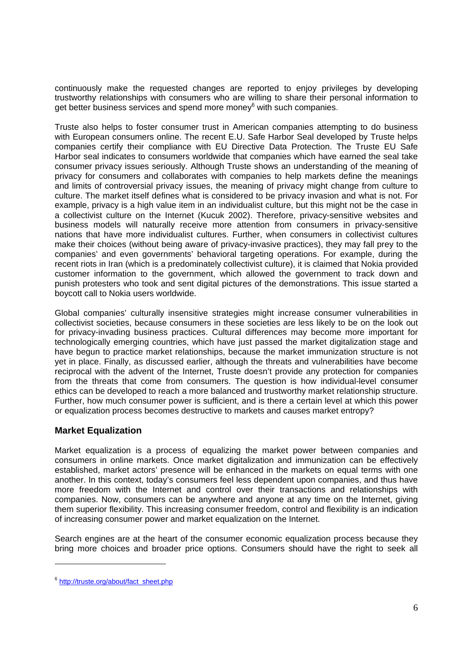continuously make the requested changes are reported to enjoy privileges by developing trustworthy relationships with consumers who are willing to share their personal information to get better business services and spend more money<sup>6</sup> with such companies.

Truste also helps to foster consumer trust in American companies attempting to do business with European consumers online. The recent E.U. Safe Harbor Seal developed by Truste helps companies certify their compliance with EU Directive Data Protection. The Truste EU Safe Harbor seal indicates to consumers worldwide that companies which have earned the seal take consumer privacy issues seriously. Although Truste shows an understanding of the meaning of privacy for consumers and collaborates with companies to help markets define the meanings and limits of controversial privacy issues, the meaning of privacy might change from culture to culture. The market itself defines what is considered to be privacy invasion and what is not. For example, privacy is a high value item in an individualist culture, but this might not be the case in a collectivist culture on the Internet (Kucuk 2002). Therefore, privacy-sensitive websites and business models will naturally receive more attention from consumers in privacy-sensitive nations that have more individualist cultures. Further, when consumers in collectivist cultures make their choices (without being aware of privacy-invasive practices), they may fall prey to the companies' and even governments' behavioral targeting operations. For example, during the recent riots in Iran (which is a predominately collectivist culture), it is claimed that Nokia provided customer information to the government, which allowed the government to track down and punish protesters who took and sent digital pictures of the demonstrations. This issue started a boycott call to Nokia users worldwide.

Global companies' culturally insensitive strategies might increase consumer vulnerabilities in collectivist societies, because consumers in these societies are less likely to be on the look out for privacy-invading business practices. Cultural differences may become more important for technologically emerging countries, which have just passed the market digitalization stage and have begun to practice market relationships, because the market immunization structure is not yet in place. Finally, as discussed earlier, although the threats and vulnerabilities have become reciprocal with the advent of the Internet, Truste doesn't provide any protection for companies from the threats that come from consumers. The question is how individual-level consumer ethics can be developed to reach a more balanced and trustworthy market relationship structure. Further, how much consumer power is sufficient, and is there a certain level at which this power or equalization process becomes destructive to markets and causes market entropy?

# **Market Equalization**

Market equalization is a process of equalizing the market power between companies and consumers in online markets. Once market digitalization and immunization can be effectively established, market actors' presence will be enhanced in the markets on equal terms with one another. In this context, today's consumers feel less dependent upon companies, and thus have more freedom with the Internet and control over their transactions and relationships with companies. Now, consumers can be anywhere and anyone at any time on the Internet, giving them superior flexibility. This increasing consumer freedom, control and flexibility is an indication of increasing consumer power and market equalization on the Internet.

Search engines are at the heart of the consumer economic equalization process because they bring more choices and broader price options. Consumers should have the right to seek all

<u> Alexandria de la construcción de la construcción de la construcción de la construcción de la construcción de</u>

<sup>&</sup>lt;sup>6</sup> http://truste.org/about/fact\_sheet.php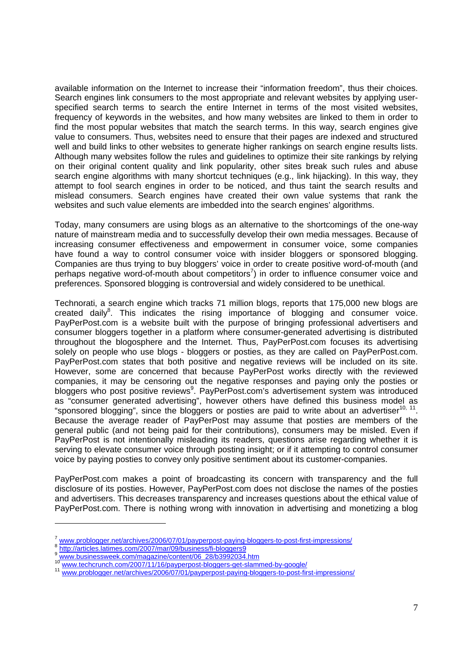available information on the Internet to increase their "information freedom", thus their choices. Search engines link consumers to the most appropriate and relevant websites by applying userspecified search terms to search the entire Internet in terms of the most visited websites, frequency of keywords in the websites, and how many websites are linked to them in order to find the most popular websites that match the search terms. In this way, search engines give value to consumers. Thus, websites need to ensure that their pages are indexed and structured well and build links to other websites to generate higher rankings on search engine results lists. Although many websites follow the rules and guidelines to optimize their site rankings by relying on their original content quality and link popularity, other sites break such rules and abuse search engine algorithms with many shortcut techniques (e.g., link hijacking). In this way, they attempt to fool search engines in order to be noticed, and thus taint the search results and mislead consumers. Search engines have created their own value systems that rank the websites and such value elements are imbedded into the search engines' algorithms.

Today, many consumers are using blogs as an alternative to the shortcomings of the one-way nature of mainstream media and to successfully develop their own media messages. Because of increasing consumer effectiveness and empowerment in consumer voice, some companies have found a way to control consumer voice with insider bloggers or sponsored blogging. Companies are thus trying to buy bloggers' voice in order to create positive word-of-mouth (and perhaps negative word-of-mouth about competitors<sup>7</sup>) in order to influence consumer voice and preferences. Sponsored blogging is controversial and widely considered to be unethical.

Technorati, a search engine which tracks 71 million blogs, reports that 175,000 new blogs are created daily $8$ . This indicates the rising importance of blogging and consumer voice. PayPerPost.com is a website built with the purpose of bringing professional advertisers and consumer bloggers together in a platform where consumer-generated advertising is distributed throughout the blogosphere and the Internet. Thus, PayPerPost.com focuses its advertising solely on people who use blogs - bloggers or posties, as they are called on PayPerPost.com. PayPerPost.com states that both positive and negative reviews will be included on its site. However, some are concerned that because PayPerPost works directly with the reviewed companies, it may be censoring out the negative responses and paying only the posties or bloggers who post positive reviews<sup>9</sup>. PayPerPost.com's advertisement system was introduced as "consumer generated advertising", however others have defined this business model as "sponsored blogging", since the bloggers or posties are paid to write about an advertiser<sup>10, 11</sup>. Because the average reader of PayPerPost may assume that posties are members of the general public (and not being paid for their contributions), consumers may be misled. Even if PayPerPost is not intentionally misleading its readers, questions arise regarding whether it is serving to elevate consumer voice through posting insight; or if it attempting to control consumer voice by paying posties to convey only positive sentiment about its customer-companies.

PayPerPost.com makes a point of broadcasting its concern with transparency and the full disclosure of its posties. However, PayPerPost.com does not disclose the names of the posties and advertisers. This decreases transparency and increases questions about the ethical value of PayPerPost.com. There is nothing wrong with innovation in advertising and monetizing a blog

<sup>&</sup>lt;sup>7</sup> www.problogger.net/archives/2006/07/01/payperpost-paying-bloggers-to-post-first-impressions/<br><sup>8</sup> http://articles.latimes.com/2007/mar/09/business/fi-bloggers9<br><sup>9</sup> www.businessweek.com/magazine/content/06\_28/b3992034.ht

<sup>10</sup> www.techcrunch.com/2007/11/16/payperpost-bloggers-get-slammed-by-google/ <sup>11</sup> www.problogger.net/archives/2006/07/01/payperpost-paying-bloggers-to-post-first-impressions/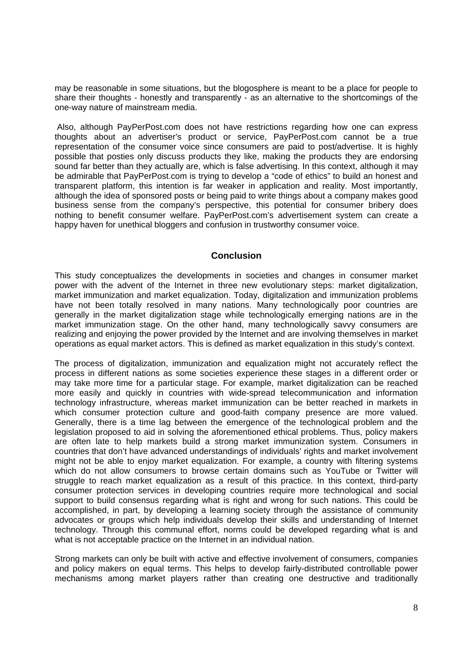may be reasonable in some situations, but the blogosphere is meant to be a place for people to share their thoughts - honestly and transparently - as an alternative to the shortcomings of the one-way nature of mainstream media.

 Also, although PayPerPost.com does not have restrictions regarding how one can express thoughts about an advertiser's product or service, PayPerPost.com cannot be a true representation of the consumer voice since consumers are paid to post/advertise. It is highly possible that posties only discuss products they like, making the products they are endorsing sound far better than they actually are, which is false advertising. In this context, although it may be admirable that PayPerPost.com is trying to develop a "code of ethics" to build an honest and transparent platform, this intention is far weaker in application and reality. Most importantly, although the idea of sponsored posts or being paid to write things about a company makes good business sense from the company's perspective, this potential for consumer bribery does nothing to benefit consumer welfare. PayPerPost.com's advertisement system can create a happy haven for unethical bloggers and confusion in trustworthy consumer voice.

### **Conclusion**

This study conceptualizes the developments in societies and changes in consumer market power with the advent of the Internet in three new evolutionary steps: market digitalization, market immunization and market equalization. Today, digitalization and immunization problems have not been totally resolved in many nations. Many technologically poor countries are generally in the market digitalization stage while technologically emerging nations are in the market immunization stage. On the other hand, many technologically savvy consumers are realizing and enjoying the power provided by the Internet and are involving themselves in market operations as equal market actors. This is defined as market equalization in this study's context.

The process of digitalization, immunization and equalization might not accurately reflect the process in different nations as some societies experience these stages in a different order or may take more time for a particular stage. For example, market digitalization can be reached more easily and quickly in countries with wide-spread telecommunication and information technology infrastructure, whereas market immunization can be better reached in markets in which consumer protection culture and good-faith company presence are more valued. Generally, there is a time lag between the emergence of the technological problem and the legislation proposed to aid in solving the aforementioned ethical problems. Thus, policy makers are often late to help markets build a strong market immunization system. Consumers in countries that don't have advanced understandings of individuals' rights and market involvement might not be able to enjoy market equalization. For example, a country with filtering systems which do not allow consumers to browse certain domains such as YouTube or Twitter will struggle to reach market equalization as a result of this practice. In this context, third-party consumer protection services in developing countries require more technological and social support to build consensus regarding what is right and wrong for such nations. This could be accomplished, in part, by developing a learning society through the assistance of community advocates or groups which help individuals develop their skills and understanding of Internet technology. Through this communal effort, norms could be developed regarding what is and what is not acceptable practice on the Internet in an individual nation.

Strong markets can only be built with active and effective involvement of consumers, companies and policy makers on equal terms. This helps to develop fairly-distributed controllable power mechanisms among market players rather than creating one destructive and traditionally